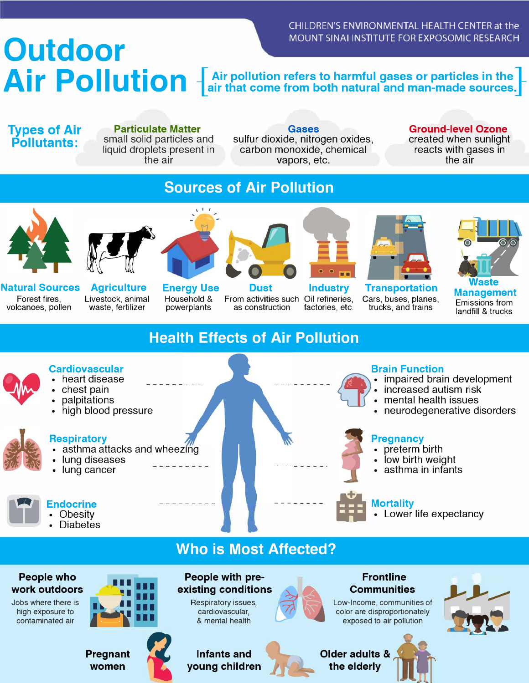CHILDREN'S ENVIRONMENTAL HEALTH CENTER at the

# MOUNT SINAI INSTITUTE FOR EXPOSOMIC RESEARCH Air Pollution  $\left[\begin{array}{c}\text{Air pollution refers to harmful gases or particles in the}\end{array}\right]$

**Types of Air Pollutants:** 

**Particulate Matter**  small solid particles and liquid droplets present in the air

**Gases**  sulfur dioxide, nitrogen oxides, carbon monoxide, chemical vapors, etc.

**Ground-level Ozone**  created when sunlight reacts with gases in the air

### **Sources of Air Pollution**





**Natural Sources**  Forest fires, volcanoes, pollen

**Agriculture**  Livestock, animal waste, fertilizer



**Energy Use**  Household **&**  powerplants

 $\sqrt{1/t}$ 



From activities such Oil refineries, as construction

**Industry** 

factories, etc.



**Transportation**  Cars, buses, planes, trucks, and trains



**Waste Management**  Emissions from landfill & trucks

### **Health Effects of Air Pollution**



- 
- 
- 

- **Respiratory Pregnancy**<br> **A Pregnancy Pregnancy Pregnancy Pregnancy Pregnancy Pregnancy Pregnancy**  $\bullet$  asthma attacks and wheezing
- 
- 



- impaired brain development
- 
- mental health issues
- **high blood pressure 1999 The state of the state of the state of the state of the state of the state of the state of the state of the state of the state of the state of the state of the state of the state of the state of**

- 
- **Figure 1.1 Terms** in the low birth weight **in the low birth weight**  $\bullet$  **low birth weight**
- lung cancer **and the infants** asthma in infants



**EXPLOSE EXPERIENCE EXPECTATION CONSUMING THE EXPECTATION CONSUMING THE EXPLOSE EXPLOSE EXPLOSE EXPLOSE EXPLOSE EXPLOSE EXPLOSE EXPLOSE EXPLOSE EXPLOSE EXPLOSE EXPLOSE EXPLOSE EXPLOSE EXPLOSE EXPLOSE EXPLOSE EXPLOSE EXPLOS** 

• Diabetes



**Cardiovascular Brain Function 3 and 2**<br> **Cardiovascular** Brain Function **Brain Function**<br> **Cardiovascular** Brain Function **Brain Function** 

- 
- 
-